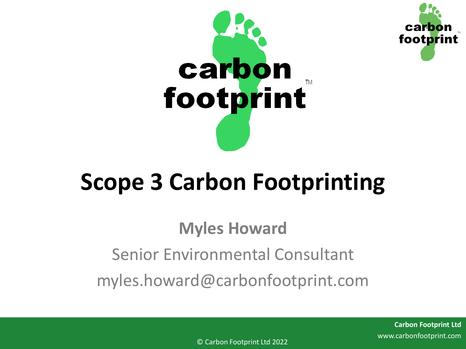



## **Scope 3 Carbon Footprinting**

## **Myles Howard** Senior Environmental Consultant myles.howard@carbonfootprint.com

**Carbon Footprint Ltd** www.carbonfootprint.com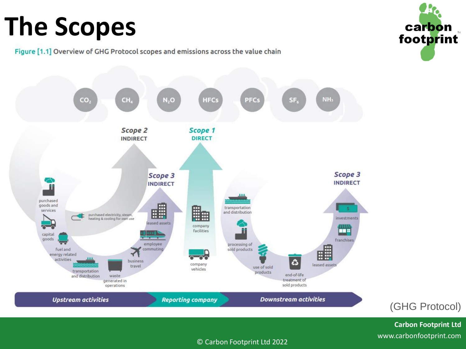# **The Scopes**



Figure [1.1] Overview of GHG Protocol scopes and emissions across the value chain



**Carbon Footprint Ltd** www.carbonfootprint.com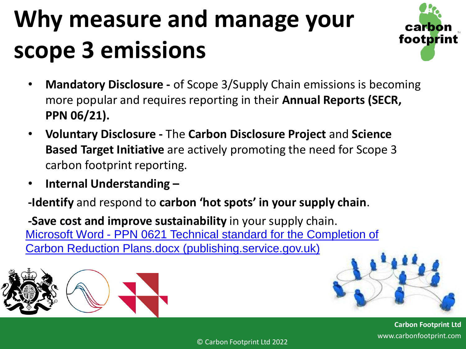# **Why measure and manage your scope 3 emissions**



- **Mandatory Disclosure -** of Scope 3/Supply Chain emissions is becoming more popular and requires reporting in their **Annual Reports (SECR, PPN 06/21).**
- **Voluntary Disclosure -** The **Carbon Disclosure Project** and **Science Based Target Initiative** are actively promoting the need for Scope 3 carbon footprint reporting.
- **Internal Understanding –**

**-Identify** and respond to **carbon 'hot spots' in your supply chain**.

**-Save cost and improve sustainability** in your supply chain. Microsoft Word - PPN 0621 Technical standard for the Completion of [Carbon Reduction Plans.docx \(publishing.service.gov.uk\)](https://assets.publishing.service.gov.uk/government/uploads/system/uploads/attachment_data/file/991625/PPN_0621_Technical_standard_for_the_Completion_of_Carbon_Reduction_Plans__2_.pdf)





**Carbon Footprint Ltd** www.carbonfootprint.com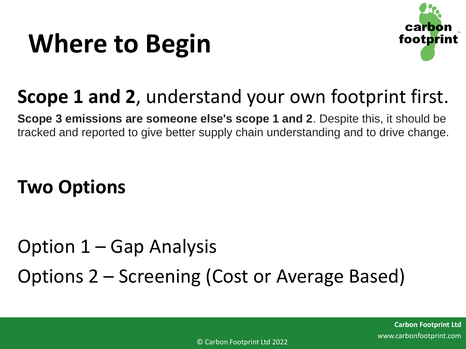# **Where to Begin**



## **Scope 1 and 2**, understand your own footprint first.

**Scope 3 emissions are someone else's scope 1 and 2**. Despite this, it should be tracked and reported to give better supply chain understanding and to drive change.

### **Two Options**

Option 1 – Gap Analysis Options 2 – Screening (Cost or Average Based)

> **Carbon Footprint Ltd** www.carbonfootprint.com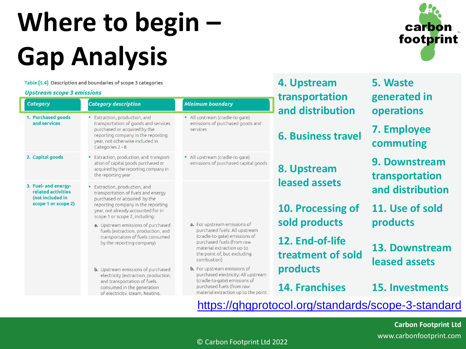# **Where to begin – Gap Analysis**

Table [5.4] Description and boundaries of scope 3 categories

#### **Upstream scope 3 emissions**

 $Ca$ 

 $2.$ 

| scream scope 3 emissions                                                                  |                                                                                                                                                                                                   | transportation                                                                          | generated in              |                                                |  |
|-------------------------------------------------------------------------------------------|---------------------------------------------------------------------------------------------------------------------------------------------------------------------------------------------------|-----------------------------------------------------------------------------------------|---------------------------|------------------------------------------------|--|
| tegory                                                                                    | <b>Category description</b>                                                                                                                                                                       | Minimum boundary                                                                        | and distribution          | operations                                     |  |
| <b>Purchased goods</b><br>and services                                                    | Extraction, production, and<br>transportation of goods and services<br>purchased or acquired by the<br>reporting company in the reporting<br>year, not otherwise included in<br>Categories 2 - 8  | · All upstream (cradle-to-gate)<br>emissions of purchased goods and<br>services         | <b>6. Business travel</b> | 7. Employee<br>commuting                       |  |
| Capital goods                                                                             | Extraction, production, and transport-<br>ation of capital goods purchased or<br>acquired by the reporting company in<br>the reporting year                                                       | · All upstream (cradle-to-gate)<br>emissions of purchased capital goods                 | 8. Upstream               | 9. Downstrea<br>transportatio<br>and distribut |  |
| <b>Fuel- and energy-</b><br>related activities<br>(not included in<br>scope 1 or scope 2) | Extraction, production, and<br>transportation of fuels and energy                                                                                                                                 |                                                                                         | leased assets             |                                                |  |
|                                                                                           | purchased or acquired by the<br>reporting company in the reporting<br>year, not already accounted for in<br>scope 1 or scope 2, including:                                                        |                                                                                         | 10. Processing of         | 11. Use of so                                  |  |
|                                                                                           | a. Upstream emissions of purchased<br>fuels (extraction, production, and                                                                                                                          | a. For upstream emissions of<br>purchased fuels: All upstream                           | sold products             | products                                       |  |
|                                                                                           | transportation of fuels consumed<br>by the reporting company)                                                                                                                                     | (cradle-to-gate) emissions of<br>purchased fuels (from raw<br>material extraction up to | 12. End-of-life           | 13. Downstro                                   |  |
|                                                                                           |                                                                                                                                                                                                   | the point of, but excluding<br>combustion)                                              | treatment of sold         | leased assets                                  |  |
|                                                                                           | <b>b.</b> Upstream emissions of purchased<br>electricity (extraction, production,                                                                                                                 | <b>b.</b> For upstream emissions of<br>purchased electricity: All upstream              | products                  |                                                |  |
|                                                                                           | (cradle-to-gate) emissions of<br>and transportation of fuels<br>purchased fuels (from raw<br>consumed in the generation<br>material extraction up to the point<br>of electricity, steam, heating, |                                                                                         | <b>14. Franchises</b>     | 15. Investme                                   |  |



**operations Employee commuting 9. Downstream transportation and distribution 11. Use of sold products**

**5. Waste** 

**13. Downstream leased assets** 

**14. Franchises 15. Investments**

<https://ghgprotocol.org/standards/scope-3-standard>

**4. Upstream** 

**Carbon Footprint Ltd** www.carbonfootprint.com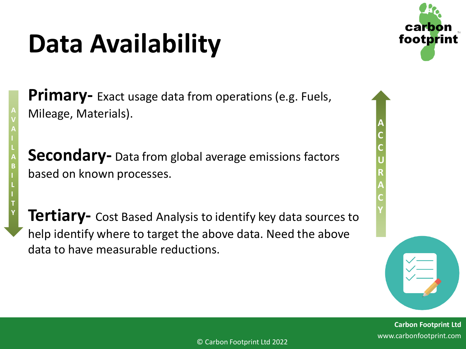# **Data Availability**

**Primary-** Exact usage data from operations (e.g. Fuels, Mileage, Materials).

**Secondary-** Data from global average emissions factors based on known processes.

**Tertiary-** Cost Based Analysis to identify key data sources to help identify where to target the above data. Need the above data to have measurable reductions.



**A C C U R A C Y**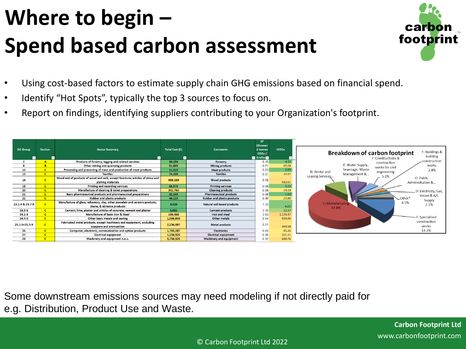## **Where to begin – Spend based carbon assessment**



- Using cost-based factors to estimate supply chain GHG emissions based on financial spend.
- Identify "Hot Spots", typically the top 3 sources to focus on.
- Report on findings, identifying suppliers contributing to your Organization's footprint.

| <b>SIC Group</b> | <b>Section</b> | <b>Sector Summary</b>                                                                                       | Total Cost (£) | <b>Comments</b>                    | EF.<br>(thousan<br>d tonnes<br>CO2e/<br>$\blacksquare$ £millio $\blacksquare$ | tCO2e    | F: Buildings &<br><b>Breakdown of carbon footprint</b><br>building<br>F: Constructions & |
|------------------|----------------|-------------------------------------------------------------------------------------------------------------|----------------|------------------------------------|-------------------------------------------------------------------------------|----------|------------------------------------------------------------------------------------------|
|                  | $\mathbf{A}$   | Products of forestry, logging and related services                                                          | 30,156         | Forestry                           | 0.15                                                                          | 4.52     | _construction<br>construction                                                            |
|                  |                | Other mining and quarrying products                                                                         | 91,603         | <b>Mining products</b>             | 0.71                                                                          | 65.04    | E: Water Supply;<br>works<br>works for civil                                             |
| 10               |                | Processing and preserving of meat and production of meat products                                           | 11,520         | <b>Meat products</b>               | 0.23                                                                          | 2.65     | Sewerage, Waste<br>2.8%<br>N: Rental and<br>engineering                                  |
| 13               | $\mathbf{c}$   | <b>Textiles</b>                                                                                             | 74,108         | <b>Textiles</b>                    | 0.31                                                                          | 22.97    | Management &<br>Leasing Services                                                         |
| 16               |                | Wood and of products of wood and cork, except furniture; articles of straw and<br>plaiting materials        | 989,169        | <b>Wood products</b>               | 0.59                                                                          | 583.61   | 5.1%<br>O: Public<br>Administration &                                                    |
| 18               | $\mathbf{C}$   | <b>Printing and recording services</b>                                                                      | 66.575         | <b>Printing services</b>           | 0.08                                                                          | 5.33     |                                                                                          |
| 20               |                | Manufacture of cleaning & toilet preparations                                                               | 301,760        | <b>Cleaning products</b>           | 0.08                                                                          | 24.14    | D: Electricity, Gas,                                                                     |
| 21               | $\mathsf{C}$   | Basic pharmaceutical products and pharmaceutical preparations                                               | 32,149         | <b>Pharmaceutical products</b>     | 0.06                                                                          | 1.93     | Steam & A/C                                                                              |
| 22               | c.             | <b>Rubber and plastic products</b>                                                                          | 46,123         | <b>Rubber and plastic products</b> | 0.49                                                                          | 22.60    | Other*                                                                                   |
| 23.1-4 & 23.7-9  | $\mathsf{C}$   | Manufacture of glass, refractory, clay, other porcelain and ceramic products,<br>Stone, & abrasive products | 4,529          | Natural soil based products        | 1.33                                                                          | 6.02     | Supply<br>4.5%<br>C: Manufacturing<br>2.1%<br>47.8%                                      |
| $23.5 - 6$       | $\mathbf{C}$   | Cement, lime, plaster and articles of concrete, cement and plaster                                          | 3.862          | <b>Cement products</b>             | 3.15                                                                          | 12.17    |                                                                                          |
| $24.1 - 3$       | $\mathbf{C}$   | Manufacture of basic Iron & Steel                                                                           | 296,468        | Iron and steel                     | 3.83                                                                          | 1,135.47 |                                                                                          |
| $24.4 - 5$       | $\mathbf{c}$   | Other basic metals and casting                                                                              | 1,036,849      | Other metals                       | 0.54                                                                          | 559.90   | F: Specialised                                                                           |
| 25.1-3+25.5-9    | $\mathbf{C}$   | Fabricated metal products, except machinery and equipment, excluding<br>weapons and ammunition              | 2,236,097      | <b>Metal products</b>              | 0.21                                                                          | 469.58   | construction<br>works                                                                    |
| 26               | $\mathbf{c}$   | Computer, electronic, communication and optical products                                                    | 1,705,287      | <b>Electronics</b>                 | 0.05                                                                          | 85.26    | 14.2%                                                                                    |
| 27               | $\mathbf{c}$   | <b>Electrical equipment</b>                                                                                 | 1,256,920      | <b>Electrical equipment</b>        | 0.16                                                                          | 201.11   |                                                                                          |
| 28               | $\mathbf{c}$   | Machinery and equipment n.e.c.                                                                              | 5,756,326      | <b>Machinery and equipment</b>     | 0.12                                                                          | 690.76   |                                                                                          |

Some downstream emissions sources may need modeling if not directly paid for e.g. Distribution, Product Use and Waste.

© Carbon Footprint Ltd 2022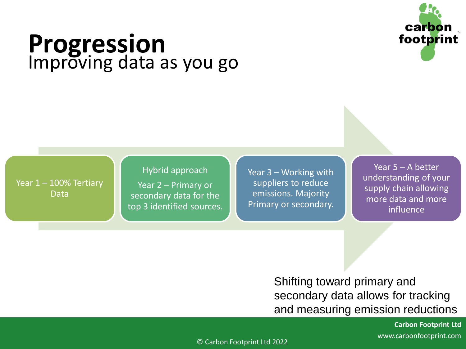

## **Progression** Improving data as you go

Year 1 – 100% Tertiary Data

#### Hybrid approach

Year 2 – Primary or secondary data for the top 3 identified sources. Year 3 – Working with suppliers to reduce emissions. Majority Primary or secondary.

Year 5 – A better understanding of your supply chain allowing more data and more influence

Shifting toward primary and secondary data allows for tracking and measuring emission reductions

> **Carbon Footprint Ltd** www.carbonfootprint.com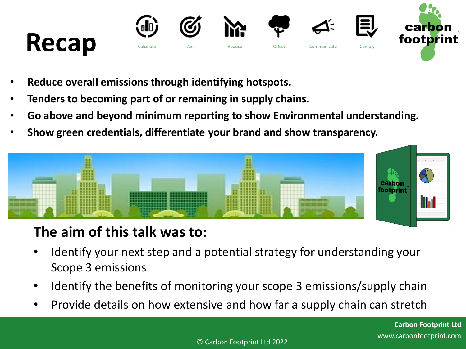

- **Reduce overall emissions through identifying hotspots.**
- **Tenders to becoming part of or remaining in supply chains.**
- **Go above and beyond minimum reporting to show Environmental understanding.**
- **Show green credentials, differentiate your brand and show transparency.**



### **The aim of this talk was to:**

- Identify your next step and a potential strategy for understanding your Scope 3 emissions
- Identify the benefits of monitoring your scope 3 emissions/supply chain
- Provide details on how extensive and how far a supply chain can stretch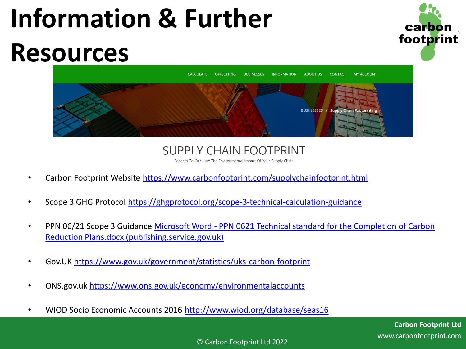# **Information & Further Resources**





**SUPPLY CHAIN FOOTPRINT** 

Services To Calculate The Environmental Impact Of Your Supply Chain

- Carbon Footprint Website<https://www.carbonfootprint.com/supplychainfootprint.html>
- Scope 3 GHG Protocol <https://ghgprotocol.org/scope-3-technical-calculation-guidance>
- PPN 06/21 Scope 3 Guidance Microsoft Word [PPN 0621 Technical standard for the Completion of Carbon](https://assets.publishing.service.gov.uk/government/uploads/system/uploads/attachment_data/file/991625/PPN_0621_Technical_standard_for_the_Completion_of_Carbon_Reduction_Plans__2_.pdf)  Reduction Plans.docx (publishing.service.gov.uk)
- Gov.UK<https://www.gov.uk/government/statistics/uks-carbon-footprint>
- ONS.gov.uk<https://www.ons.gov.uk/economy/environmentalaccounts>
- WIOD Socio Economic Accounts 2016 <http://www.wiod.org/database/seas16>

© Carbon Footprint Ltd 2022